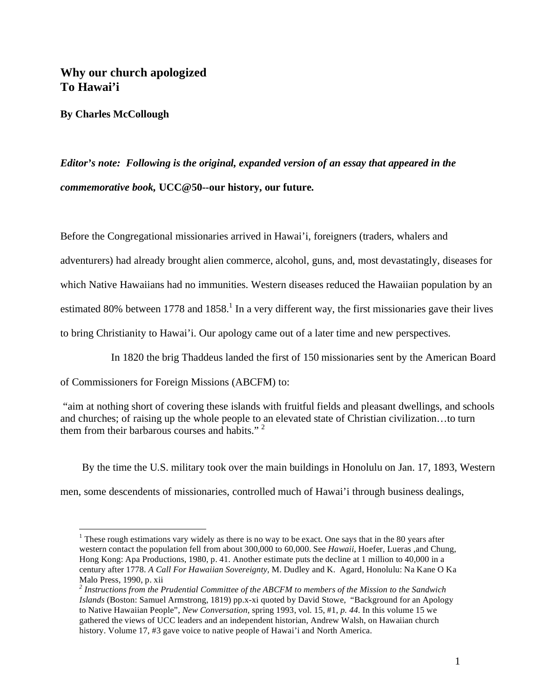# **Why our church apologized To Hawai'i**

**By Charles McCollough** 

 $\overline{a}$ 

*Editor's note: Following is the original, expanded version of an essay that appeared in the commemorative book,* **UCC@50--our history, our future.** 

Before the Congregational missionaries arrived in Hawai'i, foreigners (traders, whalers and

adventurers) had already brought alien commerce, alcohol, guns, and, most devastatingly, diseases for

which Native Hawaiians had no immunities. Western diseases reduced the Hawaiian population by an

estimated 80% between 1778 and 1858.<sup>1</sup> In a very different way, the first missionaries gave their lives

to bring Christianity to Hawai'i. Our apology came out of a later time and new perspectives.

In 1820 the brig Thaddeus landed the first of 150 missionaries sent by the American Board

of Commissioners for Foreign Missions (ABCFM) to:

 "aim at nothing short of covering these islands with fruitful fields and pleasant dwellings, and schools and churches; of raising up the whole people to an elevated state of Christian civilization…to turn them from their barbarous courses and habits." 2

 By the time the U.S. military took over the main buildings in Honolulu on Jan. 17, 1893, Western men, some descendents of missionaries, controlled much of Hawai'i through business dealings,

<sup>&</sup>lt;sup>1</sup> These rough estimations vary widely as there is no way to be exact. One says that in the 80 years after western contact the population fell from about 300,000 to 60,000. See *Hawaii,* Hoefer, Lueras ,and Chung, Hong Kong: Apa Productions, 1980, p. 41. Another estimate puts the decline at 1 million to 40,000 in a century after 1778. *A Call For Hawaiian Sovereignty,* M. Dudley and K. Agard, Honolulu: Na Kane O Ka Malo Press, 1990, p. xii

*<sup>2</sup> Instructions from the Prudential Committee of the ABCFM to members of the Mission to the Sandwich Islands* (Boston: Samuel Armstrong, 1819) pp.x-xi quoted by David Stowe, "Background for an Apology to Native Hawaiian People", *New Conversation,* spring 1993, vol. 15, #1, *p. 44.* In this volume 15 we gathered the views of UCC leaders and an independent historian, Andrew Walsh, on Hawaiian church history. Volume 17, #3 gave voice to native people of Hawai'i and North America.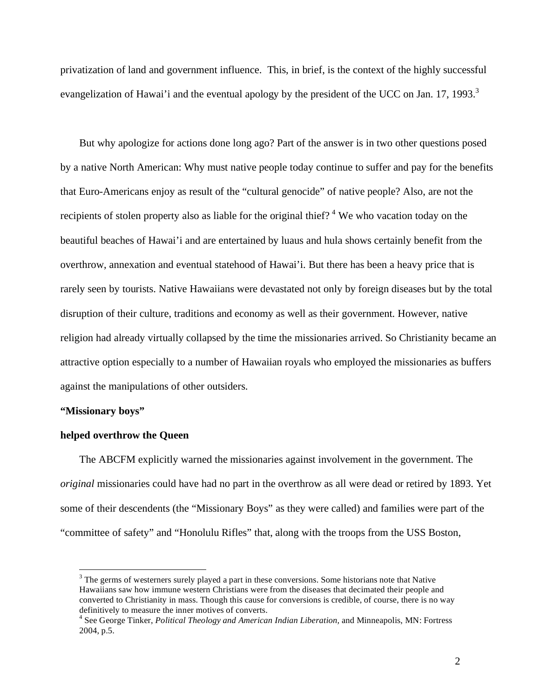privatization of land and government influence. This, in brief, is the context of the highly successful evangelization of Hawai'i and the eventual apology by the president of the UCC on Jan. 17, 1993.<sup>3</sup>

 But why apologize for actions done long ago? Part of the answer is in two other questions posed by a native North American: Why must native people today continue to suffer and pay for the benefits that Euro-Americans enjoy as result of the "cultural genocide" of native people? Also, are not the recipients of stolen property also as liable for the original thief?<sup>4</sup> We who vacation today on the beautiful beaches of Hawai'i and are entertained by luaus and hula shows certainly benefit from the overthrow, annexation and eventual statehood of Hawai'i. But there has been a heavy price that is rarely seen by tourists. Native Hawaiians were devastated not only by foreign diseases but by the total disruption of their culture, traditions and economy as well as their government. However, native religion had already virtually collapsed by the time the missionaries arrived. So Christianity became an attractive option especially to a number of Hawaiian royals who employed the missionaries as buffers against the manipulations of other outsiders.

#### **"Missionary boys"**

 $\overline{a}$ 

## **helped overthrow the Queen**

 The ABCFM explicitly warned the missionaries against involvement in the government. The *original* missionaries could have had no part in the overthrow as all were dead or retired by 1893. Yet some of their descendents (the "Missionary Boys" as they were called) and families were part of the "committee of safety" and "Honolulu Rifles" that, along with the troops from the USS Boston,

 $3$  The germs of westerners surely played a part in these conversions. Some historians note that Native Hawaiians saw how immune western Christians were from the diseases that decimated their people and converted to Christianity in mass. Though this cause for conversions is credible, of course, there is no way definitively to measure the inner motives of converts.

<sup>4</sup> See George Tinker, *Political Theology and American Indian Liberation,* and Minneapolis, MN: Fortress 2004, p.5.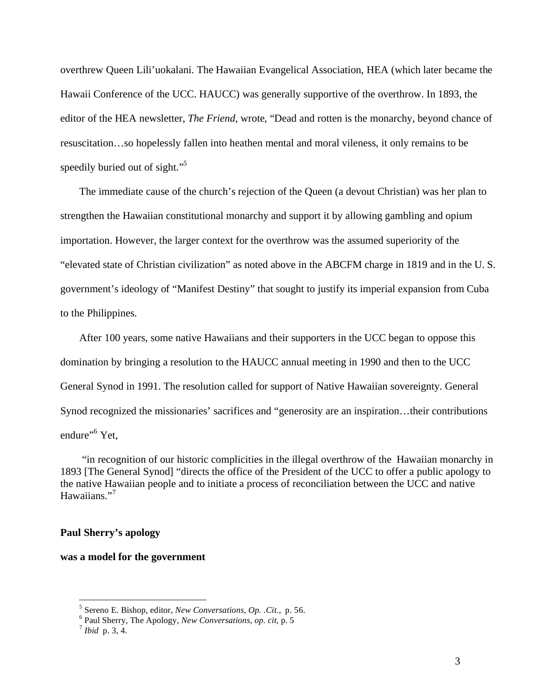overthrew Queen Lili'uokalani. The Hawaiian Evangelical Association, HEA (which later became the Hawaii Conference of the UCC. HAUCC) was generally supportive of the overthrow. In 1893, the editor of the HEA newsletter, *The Friend*, wrote, "Dead and rotten is the monarchy, beyond chance of resuscitation…so hopelessly fallen into heathen mental and moral vileness, it only remains to be speedily buried out of sight."<sup>5</sup>

 The immediate cause of the church's rejection of the Queen (a devout Christian) was her plan to strengthen the Hawaiian constitutional monarchy and support it by allowing gambling and opium importation. However, the larger context for the overthrow was the assumed superiority of the "elevated state of Christian civilization" as noted above in the ABCFM charge in 1819 and in the U. S. government's ideology of "Manifest Destiny" that sought to justify its imperial expansion from Cuba to the Philippines.

 After 100 years, some native Hawaiians and their supporters in the UCC began to oppose this domination by bringing a resolution to the HAUCC annual meeting in 1990 and then to the UCC General Synod in 1991. The resolution called for support of Native Hawaiian sovereignty. General Synod recognized the missionaries' sacrifices and "generosity are an inspiration…their contributions endure"<sup>6</sup> Yet,

 "in recognition of our historic complicities in the illegal overthrow of the Hawaiian monarchy in 1893 [The General Synod] "directs the office of the President of the UCC to offer a public apology to the native Hawaiian people and to initiate a process of reconciliation between the UCC and native Hawaiians."<sup>7</sup>

## **Paul Sherry's apology**

#### **was a model for the government**

<sup>&</sup>lt;sup>5</sup> Sereno E. Bishop, editor, *New Conversations, Op. .Cit., p.* 56.

Paul Sherry, The Apology, *New Conversations*, *op. cit*, p. 5 7 *Ibid* p. 3, 4.